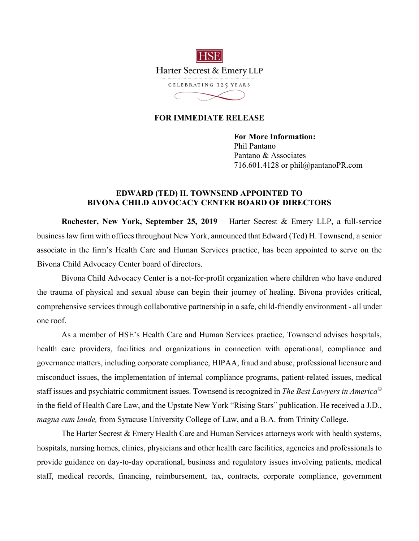

## **FOR IMMEDIATE RELEASE**

**For More Information:**  Phil Pantano Pantano & Associates 716.601.4128 or phil@pantanoPR.com

## **EDWARD (TED) H. TOWNSEND APPOINTED TO BIVONA CHILD ADVOCACY CENTER BOARD OF DIRECTORS**

**Rochester, New York, September 25, 2019** – Harter Secrest & Emery LLP, a full-service business law firm with offices throughout New York, announced that Edward (Ted) H. Townsend, a senior associate in the firm's Health Care and Human Services practice, has been appointed to serve on the Bivona Child Advocacy Center board of directors.

Bivona Child Advocacy Center is a not-for-profit organization where children who have endured the trauma of physical and sexual abuse can begin their journey of healing. Bivona provides critical, comprehensive services through collaborative partnership in a safe, child-friendly environment - all under one roof.

As a member of HSE's Health Care and Human Services practice, Townsend advises hospitals, health care providers, facilities and organizations in connection with operational, compliance and governance matters, including corporate compliance, HIPAA, fraud and abuse, professional licensure and misconduct issues, the implementation of internal compliance programs, patient-related issues, medical staff issues and psychiatric commitment issues. Townsend is recognized in *The Best Lawyers in America©* in the field of Health Care Law, and the Upstate New York "Rising Stars" publication. He received a J.D., *magna cum laude,* from Syracuse University College of Law, and a B.A. from Trinity College.

The Harter Secrest & Emery Health Care and Human Services attorneys work with health systems, hospitals, nursing homes, clinics, physicians and other health care facilities, agencies and professionals to provide guidance on day-to-day operational, business and regulatory issues involving patients, medical staff, medical records, financing, reimbursement, tax, contracts, corporate compliance, government